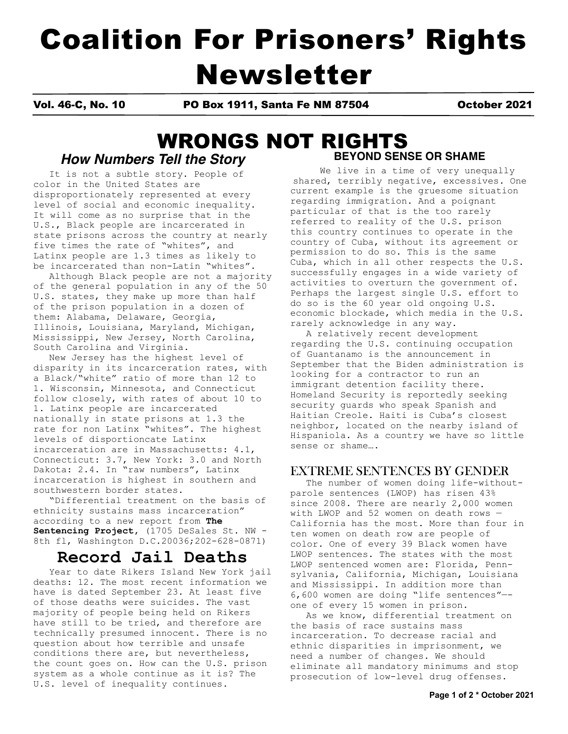# Coalition For Prisoners' Rights Newsletter

Vol. 46-C, No. 10 PO Box 1911, Santa Fe NM 87504 October 2021

## *How Numbers Tell the Story* **BEYOND SENSE OR SHAME** WRONGS NOT RIGHTS

It is not a subtle story. People of color in the United States are disproportionately represented at every level of social and economic inequality. It will come as no surprise that in the U.S., Black people are incarcerated in state prisons across the country at nearly five times the rate of "whites", and Latinx people are 1.3 times as likely to be incarcerated than non-Latin "whites".

 Although Black people are not a majority of the general population in any of the 50 U.S. states, they make up more than half of the prison population in a dozen of them: Alabama, Delaware, Georgia, Illinois, Louisiana, Maryland, Michigan, Mississippi, New Jersey, North Carolina, South Carolina and Virginia.

 New Jersey has the highest level of disparity in its incarceration rates, with a Black/"white" ratio of more than 12 to 1. Wisconsin, Minnesota, and Connecticut follow closely, with rates of about 10 to 1. Latinx people are incarcerated nationally in state prisons at 1.3 the rate for non Latinx "whites". The highest levels of disportioncate Latinx incarceration are in Massachusetts: 4.1, Connecticut: 3.7, New York: 3.0 and North Dakota: 2.4. In "raw numbers", Latinx incarceration is highest in southern and southwestern border states.

 "Differential treatment on the basis of ethnicity sustains mass incarceration" according to a new report from **The Sentencing Project,** (1705 DeSales St. NW - 8th fl, Washington D.C.20036;202-628-0871)

## **Record Jail Deaths**

 Year to date Rikers Island New York jail deaths: 12. The most recent information we have is dated September 23. At least five of those deaths were suicides. The vast majority of people being held on Rikers have still to be tried, and therefore are technically presumed innocent. There is no question about how terrible and unsafe conditions there are, but nevertheless, the count goes on. How can the U.S. prison system as a whole continue as it is? The U.S. level of inequality continues.

## We live in a time of very unequally shared, terribly negative, excessives. One current example is the gruesome situation regarding immigration. And a poignant particular of that is the too rarely referred to reality of the U.S. prison this country continues to operate in the country of Cuba, without its agreement or permission to do so. This is the same Cuba, which in all other respects the U.S. successfully engages in a wide variety of activities to overturn the government of. Perhaps the largest single U.S. effort to do so is the 60 year old ongoing U.S. economic blockade, which media in the U.S. rarely acknowledge in any way.

 A relatively recent development regarding the U.S. continuing occupation of Guantanamo is the announcement in September that the Biden administration is looking for a contractor to run an immigrant detention facility there. Homeland Security is reportedly seeking security guards who speak Spanish and Haitian Creole. Haiti is Cuba's closest neighbor, located on the nearby island of Hispaniola. As a country we have so little sense or shame….

## EXTREME SENTENCES BY GENDER

 The number of women doing life-withoutparole sentences (LWOP) has risen 43% since 2008. There are nearly 2,000 women with LWOP and 52 women on death rows — California has the most. More than four in ten women on death row are people of color. One of every 39 Black women have LWOP sentences. The states with the most LWOP sentenced women are: Florida, Pennsylvania, California, Michigan, Louisiana and Mississippi. In addition more than 6,600 women are doing "life sentences"— one of every 15 women in prison.

 As we know, differential treatment on the basis of race sustains mass incarceration. To decrease racial and ethnic disparities in imprisonment, we need a number of changes. We should eliminate all mandatory minimums and stop prosecution of low-level drug offenses.